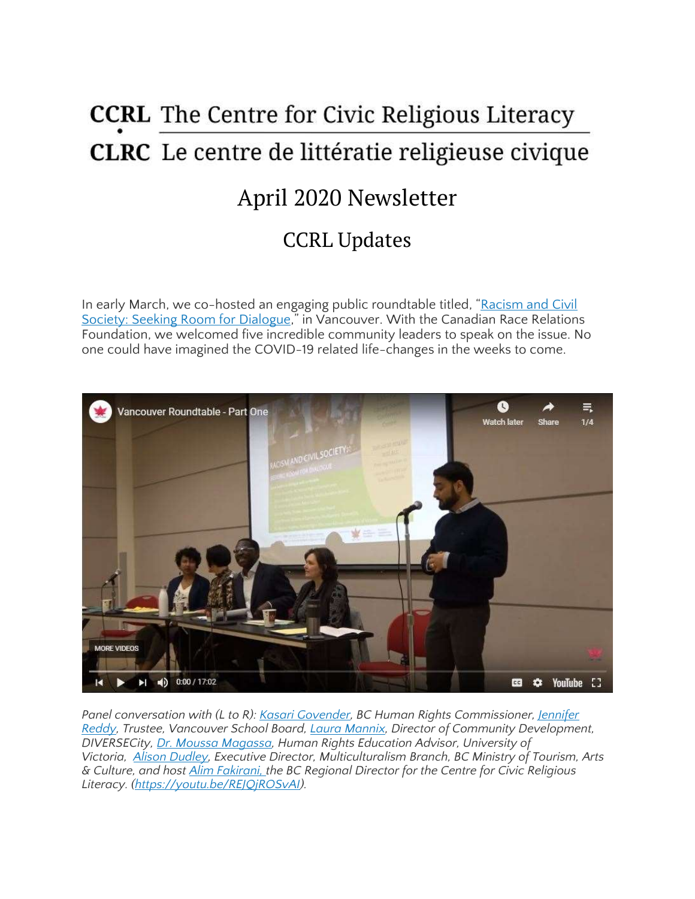# **CCRL** The Centre for Civic Religious Literacy **CLRC** Le centre de littératie religieuse civique April 2020 Newsletter CCRL Updates

In early March, we co-hosted an engaging public roundtable titled, "[Racism](https://ccrl-clrc.ca/vanroundtable/) and Civil Society: Seeking Room for [Dialogue](https://ccrl-clrc.ca/vanroundtable/)," in Vancouver. With the Canadian Race Relations Foundation, we welcomed five incredible community leaders to speak on the issue. No one could have imagined the COVID-19 related life-changes in the weeks to come.



*Panel conversation with (L to R): Kasari [Govender,](https://bchumanrights.ca/meet-the-commissioner/) BC Human Rights Commissioner, [Jennifer](https://www.vsb.bc.ca/District/Board-of-Education/Trustees/Pages/Jennifer-Reddy.aspx) [Reddy,](https://www.vsb.bc.ca/District/Board-of-Education/Trustees/Pages/Jennifer-Reddy.aspx) Trustee, Vancouver School Board, Laura [Mannix,](https://www.dcrs.ca/leadership-team/laura-mannix/) Director of Community Development, DIVERSECity, Dr. Moussa [Magassa,](https://www.uvic.ca/equity/about/staff/profiles/magassa-moussa.php) Human Rights Education Advisor, University of Victoria, Alison [Dudley,](https://www.linkedin.com/in/alison-dudley-b5296264/?originalSubdomain=ca) Executive Director, Multiculturalism Branch, BC Ministry of Tourism, Arts & Culture, and host Alim [Fakirani,](https://ccrl-clrc.ca/alim-fakirani) the BC Regional Director for the Centre for Civic Religious Literacy. [\(https://youtu.be/REJQjROSvAI\)](https://youtu.be/REJQjROSvAI).*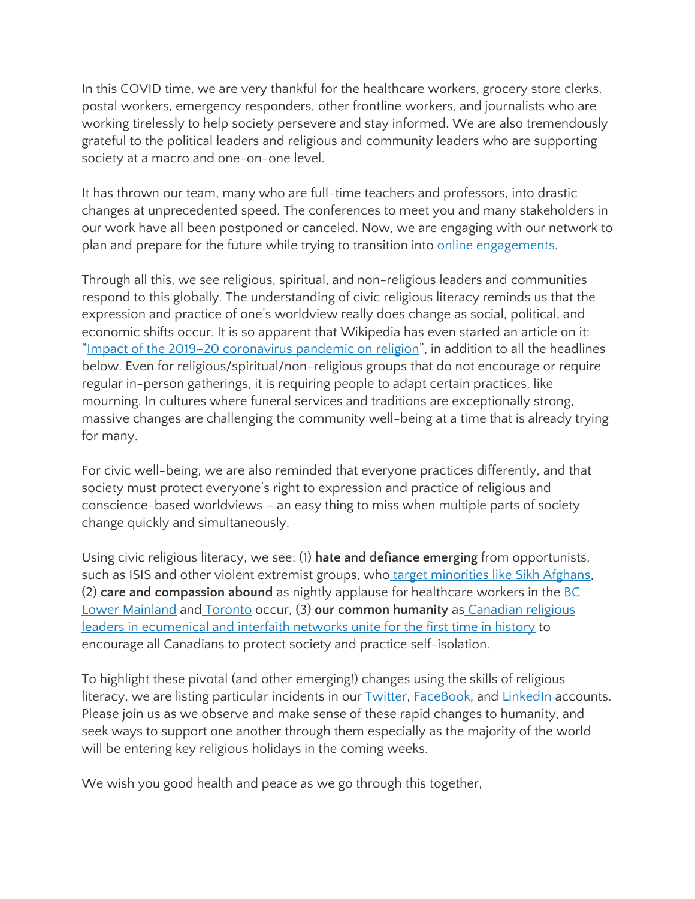In this COVID time, we are very thankful for the healthcare workers, grocery store clerks, postal workers, emergency responders, other frontline workers, and journalists who are working tirelessly to help society persevere and stay informed. We are also tremendously grateful to the political leaders and religious and community leaders who are supporting society at a macro and one-on-one level.

It has thrown our team, many who are full-time teachers and professors, into drastic changes at unprecedented speed. The conferences to meet you and many stakeholders in our work have all been postponed or canceled. Now, we are engaging with our network to plan and prepare for the future while trying to transition into online [engagements.](https://ccrl-clrc.ca/our-presentations/)

Through all this, we see religious, spiritual, and non-religious leaders and communities respond to this globally. The understanding of civic religious literacy reminds us that the expression and practice of one's worldview really does change as social, political, and economic shifts occur. It is so apparent that Wikipedia has even started an article on it: "Impact of the 2019–20 [coronavirus](https://en.wikipedia.org/wiki/Impact_of_the_2019%E2%80%9320_coronavirus_pandemic_on_religion) pandemic on religion", in addition to all the headlines below. Even for religious/spiritual/non-religious groups that do not encourage or require regular in-person gatherings, it is requiring people to adapt certain practices, like mourning. In cultures where funeral services and traditions are exceptionally strong, massive changes are challenging the community well-being at a time that is already trying for many.

For civic well-being, we are also reminded that everyone practices differently, and that society must protect everyone's right to expression and practice of religious and conscience-based worldviews – an easy thing to miss when multiple parts of society change quickly and simultaneously.

Using civic religious literacy, we see: (1) **hate and defiance emerging** from opportunists, such as ISIS and other violent extremist groups, who target [minorities](http://www.worldsikh.org/wso_calls_for_urgent_assistance_to_afghan_sikhs_after_kabul_attack) like Sikh Afghans, (2) **care and compassion abound** as nightly applause for healthcare workers in the [BC](https://www.burnabynow.com/news/daily-salute-to-health-care-workers-is-like-our-virtual-hug-says-burnaby-rcmp-1.24107704) Lower [Mainland](https://www.burnabynow.com/news/daily-salute-to-health-care-workers-is-like-our-virtual-hug-says-burnaby-rcmp-1.24107704) and [Toronto](https://toronto.ctvnews.ca/nurse-almost-brought-to-tears-as-toronto-neighbourhood-cheers-for-health-care-workers-1.4874399) occur, (3) **our common humanity** as [Canadian](https://www.councilofchurches.ca/news/hope-gratitude-and-solidarity/) religious leaders in [ecumenical](https://www.councilofchurches.ca/news/hope-gratitude-and-solidarity/) and interfaith networks unite for the first time in history to encourage all Canadians to protect society and practice self-isolation.

To highlight these pivotal (and other emerging!) changes using the skills of religious literacy, we are listing particular incidents in our **Twitter**, [FaceBook,](https://www.facebook.com/ccrlclrc) and **[LinkedIn](https://www.linkedin.com/company/ccrl-clrc/)** accounts. Please join us as we observe and make sense of these rapid changes to humanity, and seek ways to support one another through them especially as the majority of the world will be entering key religious holidays in the coming weeks.

We wish you good health and peace as we go through this together,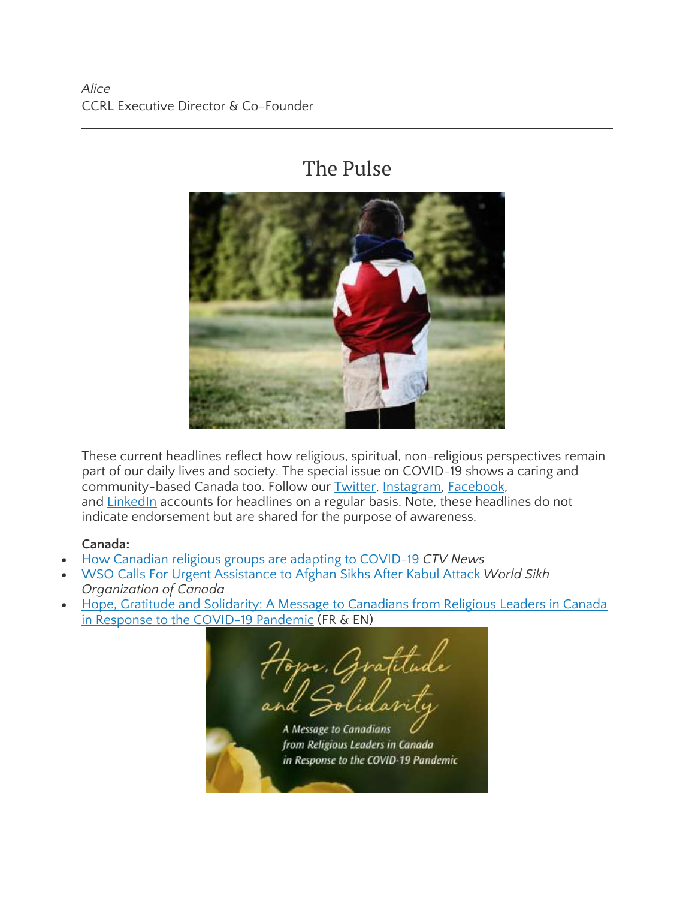# The Pulse



These current headlines reflect how religious, spiritual, non-religious perspectives remain part of our daily lives and society. The special issue on COVID-19 shows a caring and community-based Canada too. Follow our **Twitter**, [Instagram,](https://www.instagram.com/ccrl.clrc/) [Facebook,](https://www.facebook.com/The-Centre-for-Civic-Religious-Literacy-2033697073383562/) and [LinkedIn](https://www.linkedin.com/company/ccrl-clrc/) accounts for headlines on a regular basis. Note, these headlines do not indicate endorsement but are shared for the purpose of awareness.

#### **Canada:**

- How Canadian religious groups are adapting to [COVID-19](https://www.ctvnews.ca/health/coronavirus/how-canadian-religious-groups-are-adapting-to-covid-19-1.4863270) *CTV News*
- WSO Calls For Urgent [Assistance](http://www.worldsikh.org/wso_calls_for_urgent_assistance_to_afghan_sikhs_after_kabul_attack) to Afghan Sikhs After Kabul Attack *World Sikh Organization of Canada*
- Hope, Gratitude and Solidarity: A Message to [Canadians](https://www.councilofchurches.ca/news/hope-gratitude-and-solidarity/) from Religious Leaders in Canada in Response to the [COVID-19](https://www.councilofchurches.ca/news/hope-gratitude-and-solidarity/) Pandemic (FR & EN)

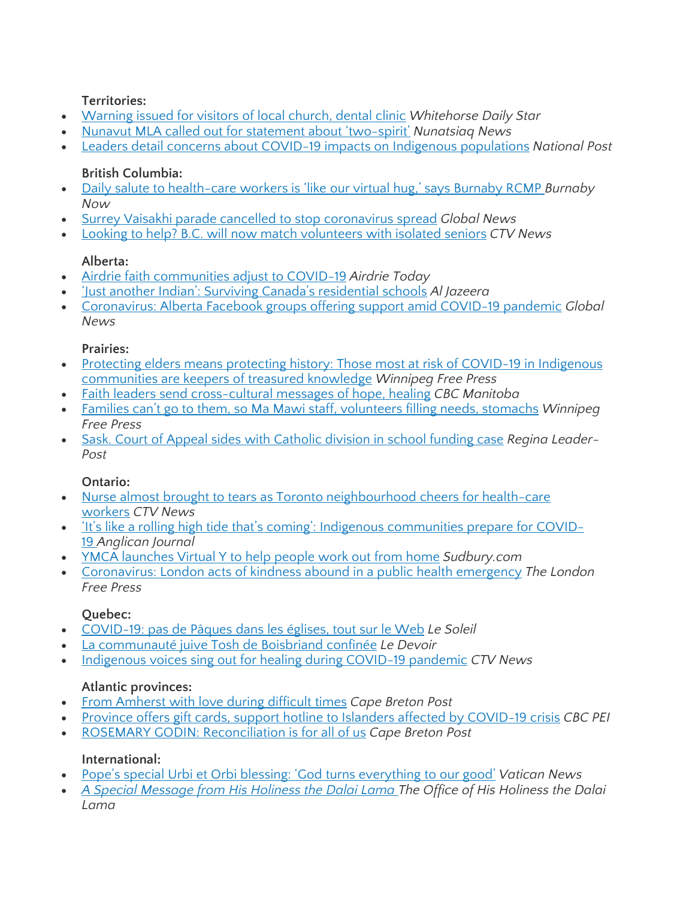#### **Territories:**

- [Warning](https://www.whitehorsestar.com/News/warning-issued-for-visitors-of-local-church-dental-clinic) issued for visitors of local church, dental clinic *Whitehorse Daily Star*
- Nunavut MLA called out for [statement](https://nunatsiaq.com/stories/article/nunavut-mla-called-out-for-statement-about-two-spirit/) about 'two-spirit' *Nunatsiaq News*
- Leaders detail concerns about COVID-19 impacts on Indigenous [populations](https://nationalpost.com/pmn/news-pmn/canada-news-pmn/leaders-detail-concerns-about-covid-19-impacts-on-indigenous-populations) *National Post*

#### **British Columbia:**

- Daily salute to [health-care](https://www.burnabynow.com/news/daily-salute-to-health-care-workers-is-like-our-virtual-hug-says-burnaby-rcmp-1.24107704) workers is 'like our virtual hug,' says Burnaby RCMP *Burnaby Now*
- Surrey Vaisakhi parade cancelled to stop [coronavirus](https://globalnews.ca/news/6667800/surrey-vaisakhi-parade-cancelled-to-stop-coronavirus-spread/) spread *Global News*
- Looking to help? B.C. will now match [volunteers](https://bc.ctvnews.ca/looking-to-help-b-c-will-now-match-volunteers-with-isolated-seniors-1.4869430) with isolated seniors *CTV News*

### **Alberta:**

- Airdrie faith [communities](https://www.airdrietoday.com/coronavirus-covid-19-local-news/airdrie-faith-communities-adjust-to-covid-19-2195335) adjust to COVID-19 *Airdrie Today*
- 'Just another Indian': Surviving Canada's [residential](https://www.aljazeera.com/indepth/features/indian-surviving-canada-residential-schools-200321120015080.html) schools *Al Jazeera*
- [Coronavirus:](https://globalnews.ca/news/6681249/coronavirus-alberta-facebook-groups/) Alberta Facebook groups offering support amid COVID-19 pandemic *Global News*

#### **Prairies:**

- Protecting elders means protecting history: Those most at risk of COVID-19 in [Indigenous](https://www.winnipegfreepress.com/local/protecting-elders-means-protecting-history-569118422.html) [communities](https://www.winnipegfreepress.com/local/protecting-elders-means-protecting-history-569118422.html) are keepers of treasured knowledge *Winnipeg Free Press*
- Faith leaders send [cross-cultural](https://www.cbc.ca/news/canada/manitoba/faith-leaders-hope-healing-winnipeg-coronavirus-1.5504439) messages of hope, healing *CBC Manitoba*
- Families can't go to them, so Ma Mawi staff, [volunteers](https://www.winnipegfreepress.com/special/coronavirus/families-cant-go-to-them-so-ma-mawi-staff-volunteers-filling-needs-stomachs-569257882.html) filling needs, stomachs *Winnipeg Free Press*
- Sask. Court of Appeal sides with [Catholic](https://leaderpost.com/news/saskatchewan/sask-court-of-appeal-sides-with-catholic-divisions-in-theodore-case/) division in school funding case *Regina Leader-Post*

### **Ontario:**

- Nurse almost brought to tears as Toronto [neighbourhood](https://toronto.ctvnews.ca/nurse-almost-brought-to-tears-as-toronto-neighbourhood-cheers-for-health-care-workers-1.4874399) cheers for health-care [workers](https://toronto.ctvnews.ca/nurse-almost-brought-to-tears-as-toronto-neighbourhood-cheers-for-health-care-workers-1.4874399) *CTV News*
- 'It's like a rolling high tide that's coming': Indigenous [communities](https://www.anglicanjournal.com/its-like-a-rolling-high-tide-thats-coming-indigenous-communities-prepare-for-covid-19/) prepare for COVID-[19](https://www.anglicanjournal.com/its-like-a-rolling-high-tide-thats-coming-indigenous-communities-prepare-for-covid-19/) *Anglican Journal*
- YMCA [launches](https://www.sudbury.com/beyond-local/ymca-launches-virtual-y-to-help-people-work-out-from-home-2200911) Virtual Y to help people work out from home *Sudbury.com*
- [Coronavirus:](https://lfpress.com/news/local-news/coronavirus-london-acts-of-kindness-in-a-public-health-emergency) London acts of kindness abound in a public health emergency *The London Free Press*

### **Quebec:**

- [COVID-19:](https://www.lesoleil.com/actualites/covid-19-pas-de-paques-dans-les-eglises-tout-sur-le-web-f14dc492e8c17957906c78949c0452d8) pas de Pâques dans les églises, tout sur le Web *Le Soleil*
- La [communauté](https://www.ledevoir.com/societe/576110/la-communaute-tosh-de-boisbriand-confinee) juive Tosh de Boisbriand confinée *Le Devoir*
- [Indigenous](https://montreal.ctvnews.ca/indigenous-voices-sing-out-for-healing-during-covid-19-pandemic-1.4864812) voices sing out for healing during COVID-19 pandemic *CTV News*

### **Atlantic provinces:**

- From [Amherst](https://www.capebretonpost.com/news/provincial/from-amherst-with-love-during-difficult-times-428535/) with love during difficult times *Cape Breton Post*
- Province offers gift cards, support hotline to Islanders affected by [COVID-19](https://www.cbc.ca/news/canada/prince-edward-island/pei-premier-cabinet-tuesday-evening-covid-19-briefing-1.5508413) crisis *CBC PEI*
- ROSEMARY GODIN: [Reconciliation](https://www.capebretonpost.com/lifestyles/local-lifestyles/rosemary-godin-reconciliation-is-for-all-of-us-426184/) is for all of us *Cape Breton Post*

### **International:**

- Pope's special Urbi et Orbi blessing: 'God turns [everything](https://www.vaticannews.va/en/pope/news/2020-03/pope-francis-urbi-et-orbi-blessing-coronavirus.html) to our good' *Vatican News*
- *A Special [Message](https://www.dalailama.com/news/2020/a-special-message-from-his-holiness-the-dalai-lama) from His Holiness the Dalai Lama The Office of His Holiness the Dalai Lama*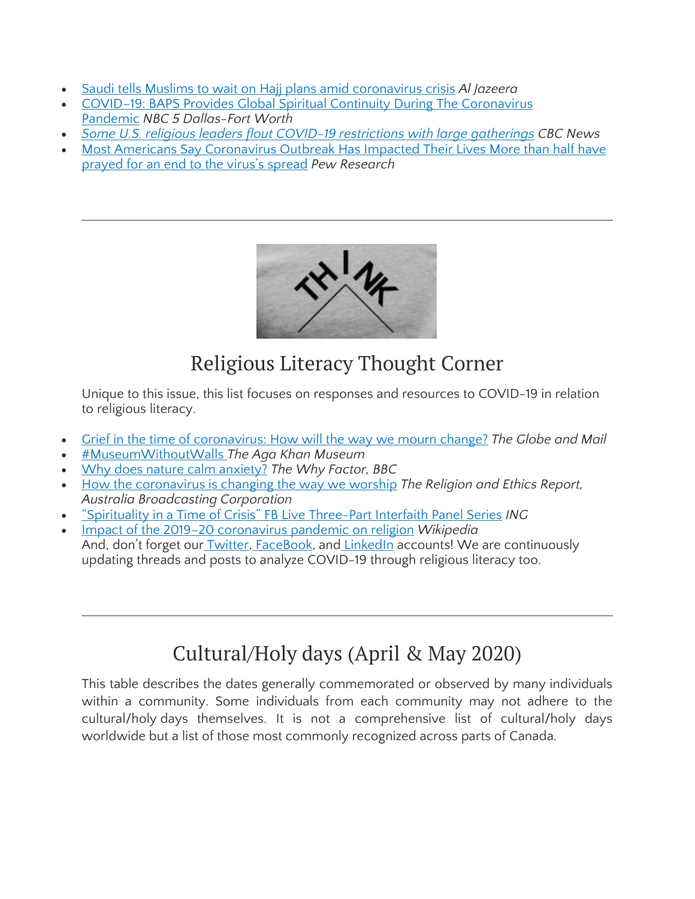- Saudi tells Muslims to wait on Hajj plans amid [coronavirus](https://www.aljazeera.com/news/2020/03/saudi-tells-muslims-wait-hajj-plans-coronavirus-crisis-200331174534584.html) crisis *Al Jazeera*
- COVID–19: BAPS Provides Global Spiritual Continuity During The [Coronavirus](https://www.nbcdfw.com/about-nbc-5/community/covid-19-baps-provides-global-spiritual-continuity-during-the-coronavirus-pandemic/2342157/) [Pandemic](https://www.nbcdfw.com/about-nbc-5/community/covid-19-baps-provides-global-spiritual-continuity-during-the-coronavirus-pandemic/2342157/) *NBC 5 Dallas-Fort Worth*
- *Some U.S. religious leaders flout COVID-19 [restrictions](https://www.cbc.ca/news/some-us-churches-flout-covid-19-restrictions-1.5515436) with large gatherings CBC News*
- Most Americans Say [Coronavirus](https://www.pewsocialtrends.org/2020/03/30/most-americans-say-coronavirus-outbreak-has-impacted-their-lives/) Outbreak Has Impacted Their Lives More than half have [prayed](https://www.pewsocialtrends.org/2020/03/30/most-americans-say-coronavirus-outbreak-has-impacted-their-lives/) for an end to the virus's spread *Pew Research*



# Religious Literacy Thought Corner

Unique to this issue, this list focuses on responses and resources to COVID-19 in relation to religious literacy.

- Grief in the time of [coronavirus:](https://www.theglobeandmail.com/opinion/article-grief-in-the-time-of-coronavirus-how-will-the-way-we-mourn-change/) How will the way we mourn change? *The Globe and Mail*
- [#MuseumWithoutWalls](https://www.agakhanmuseum.org/exhibitions/museum-without-walls) *The Aga Khan Museum*
- Why does nature calm [anxiety?](https://www.bbc.co.uk/programmes/w3csytzt) *The Why Factor, BBC*
- How the [coronavirus](https://www.abc.net.au/radionational/programs/religionandethicsreport/religious-communities-and-coronavirus/12043120) is changing the way we worship *The Religion and Ethics Report, Australia Broadcasting Corporation*
- ["Spirituality](http://www.ing.org/interfaith-series) in a Time of Crisis" FB Live Three-Part Interfaith Panel Series *ING*
- Impact of the 2019–20 [coronavirus](https://en.wikipedia.org/wiki/Impact_of_the_2019%E2%80%9320_coronavirus_pandemic_on_religion) pandemic on religion *Wikipedia* And, don't forget our [Twitter,](https://twitter.com/CcrlClrc) [FaceBook,](https://www.facebook.com/ccrlclrc) and [LinkedIn](https://www.linkedin.com/company/ccrl-clrc/) accounts! We are continuously updating threads and posts to analyze COVID-19 through religious literacy too.

# Cultural/Holy days (April & May 2020)

This table describes the dates generally commemorated or observed by many individuals within a community. Some individuals from each community may not adhere to the cultural/holy days themselves. It is not a comprehensive list of cultural/holy days worldwide but a list of those most commonly recognized across parts of Canada.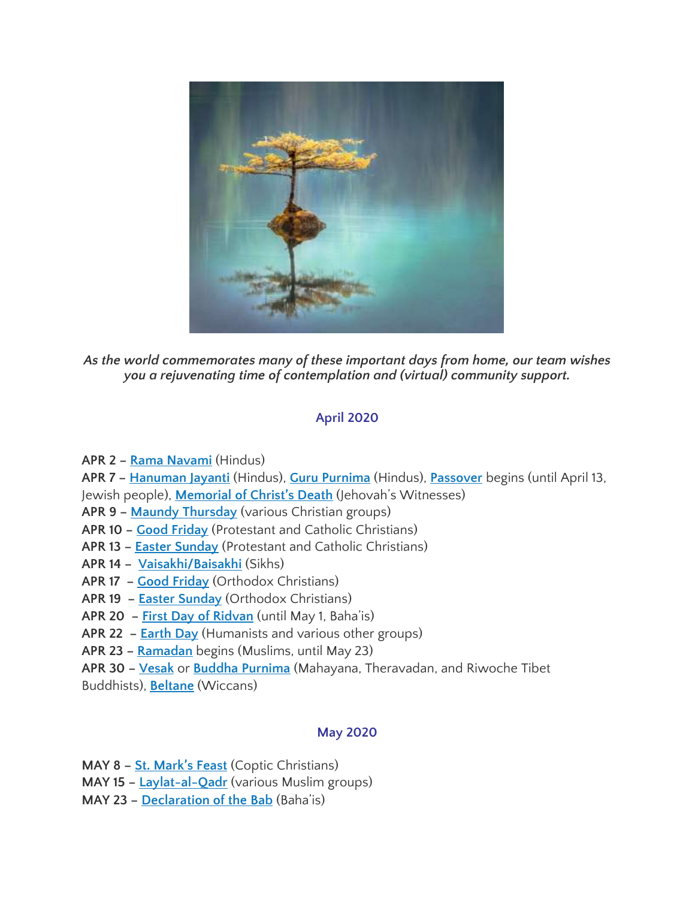

*As the world commemorates many of these important days from home, our team wishes you a rejuvenating time of contemplation and (virtual) community support.*

## **April 2020**

- **APR 2 – Rama [Navami](https://www.officeholidays.com/countries/india/ram_navami.php)** (Hindus)
- **APR 7 – [Hanuman](https://www.beliefnet.com/faiths/hinduism/what-is-hanuman-jayanti.aspx) Jayanti** (Hindus), **Guru [Purnima](https://www.beliefnet.com/columnists/omsweetom/2011/07/guru-purnima-celebrating-the-bond-between-guru-and-shishya.html)** (Hindus), **[Passover](https://www.chabad.org/holidays/passover/pesach_cdo/aid/871715/jewish/Passover-2019-Pesach.htm)** begins (until April 13,
- Jewish people), **[Memorial](https://www.vanderbilt.edu/diversity/jehovahs-witnesses-observance-of-the-memorial-of-jesus-christs-death/) of Christ's Death** (Jehovah's Witnesses)
- **APR 9 – Maundy [Thursday](https://www.christianity.com/christian-life/what-is-maundy-thursday-11628350.html)** (various Christian groups)
- **APR 10 – Good [Friday](https://www.beliefnet.com/faiths/christianity/2007/03/faq-christian-holidays-during-holy-week.aspx)** (Protestant and Catholic Christians)
- **APR 13 – Easter [Sunday](https://www.history.com/topics/holidays/history-of-easter)** (Protestant and Catholic Christians)
- **APR 14 – [Vaisakhi/Baisakhi](https://www.officeholidays.com/holidays/india/vaisakhi)** (Sikhs)
- **APR 17 – Good [Friday](https://www.beliefnet.com/columnists/religion101/2013/05/orthodox-easter-2013.html)** (Orthodox Christians)
- **APR 19 – Easter [Sunday](https://www.beliefnet.com/columnists/religion101/2013/05/orthodox-easter-2013.html)** (Orthodox Christians)
- **APR 20 – First Day of [Ridvan](https://bahaicanada.bahai.ca/the-first-day-of-ridvan-2/)** (until May 1, Baha'is)
- **APR 22 – [Earth](https://earthday.ca/) Day** (Humanists and various other groups)
- **APR 23 – [Ramadan](https://www.bbc.co.uk/newsround/23286976)** begins (Muslims, until May 23)
- **APR 30 – [Vesak](https://www.thoughtco.com/vesak-449912)** or **Buddha [Purnima](https://indianexpress.com/article/lifestyle/art-and-culture/buddhist-countries-and-the-different-names-of-buddha-purnima-5154009/)** (Mahayana, Theravadan, and Riwoche Tibet
- Buddhists), **[Beltane](https://www.thoughtco.com/beltane-4159809)** (Wiccans)

### **May 2020**

**MAY 8 – St. [Mark's](https://www.stminahamilton.ca/2010/05/st-mark-the-great-martyr-apsotle-and-evangelist) Feast** (Coptic Christians)

- **MAY 15 – [Laylat-al-Qadr](https://www.bbc.co.uk/religion/religions/islam/holydays/lailatalqadr.shtml)** (various Muslim groups)
- **MAY 23 – [Declaration](https://www.beliefnet.com/columnists/religion101/2013/05/declaration-of-the-bab-2013.html) of the Bab** (Baha'is)